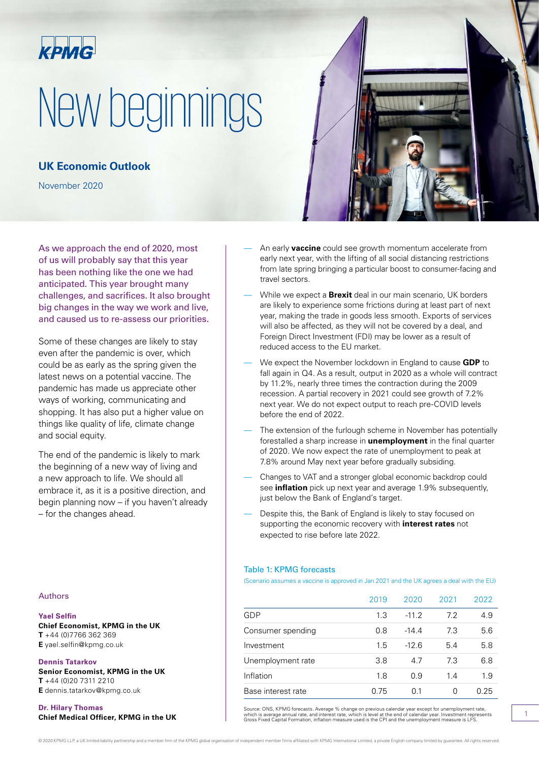

# New beginnings

**UK Economic Outlook**

November 2020

As we approach the end of 2020, most of us will probably say that this year has been nothing like the one we had anticipated. This year brought many challenges, and sacrifices. It also brought big changes in the way we work and live, and caused us to re-assess our priorities.

Some of these changes are likely to stay even after the pandemic is over, which could be as early as the spring given the latest news on a potential vaccine. The pandemic has made us appreciate other ways of working, communicating and shopping. It has also put a higher value on things like quality of life, climate change and social equity.

The end of the pandemic is likely to mark the beginning of a new way of living and a new approach to life. We should all embrace it, as it is a positive direction, and begin planning now – if you haven't already – for the changes ahead.

#### Authors

#### **Yael Selfin**

**Chief Economist, KPMG in the UK T** +44 (0)7766 362 369 **E** yael.selfin@kpmg.co.uk

**Dennis Tatarkov Senior Economist, KPMG in the UK T** +44 (0)20 7311 2210 **E** dennis.tatarkov@kpmg.co.uk

**Dr. Hilary Thomas**



- An early **vaccine** could see growth momentum accelerate from early next year, with the lifting of all social distancing restrictions from late spring bringing a particular boost to consumer-facing and travel sectors.
- While we expect a **Brexit** deal in our main scenario, UK borders are likely to experience some frictions during at least part of next year, making the trade in goods less smooth. Exports of services will also be affected, as they will not be covered by a deal, and Foreign Direct Investment (FDI) may be lower as a result of reduced access to the EU market.
- We expect the November lockdown in England to cause **GDP** to fall again in Q4. As a result, output in 2020 as a whole will contract by 11.2%, nearly three times the contraction during the 2009 recession. A partial recovery in 2021 could see growth of 7.2% next year. We do not expect output to reach pre-COVID levels before the end of 2022.
- The extension of the furlough scheme in November has potentially forestalled a sharp increase in **unemployment** in the final quarter of 2020. We now expect the rate of unemployment to peak at 7.8% around May next year before gradually subsiding.
- Changes to VAT and a stronger global economic backdrop could see **inflation** pick up next year and average 1.9% subsequently, just below the Bank of England's target.
- Despite this, the Bank of England is likely to stay focused on supporting the economic recovery with **interest rates** not expected to rise before late 2022.

#### Table 1: KPMG forecasts

(Scenario assumes a vaccine is approved in Jan 2021 and the UK agrees a deal with the EU)

|                    | 2019 | 2020    | 2021 | 2022 |
|--------------------|------|---------|------|------|
| GDP                | 1.3  | $-11.2$ | 7.2  | 4.9  |
| Consumer spending  | 0.8  | $-14.4$ | 7.3  | 5.6  |
| Investment         | 1.5  | $-12.6$ | 5.4  | 5.8  |
| Unemployment rate  | 3.8  | 4.7     | 7.3  | 6.8  |
| Inflation          | 1.8  | 0.9     | 14   | 1.9  |
| Base interest rate | 0.75 | 0.1     | 0    | 0.25 |

Dr. HIIary Inomas<br>Chief Medical Officer, KPMG in the UK which is average annual rate, and interest rate, which is level at the end of calendaryear except for unemployment rate,<br>Chief Medical Officer, KPMG in the UK and the

© 2020 KPMG LLP, a UK limited liability partnership and a member firm of the KPMG global organisation of independent member firms affiliated with KPMG International Limited, a private English company limited by quarantee.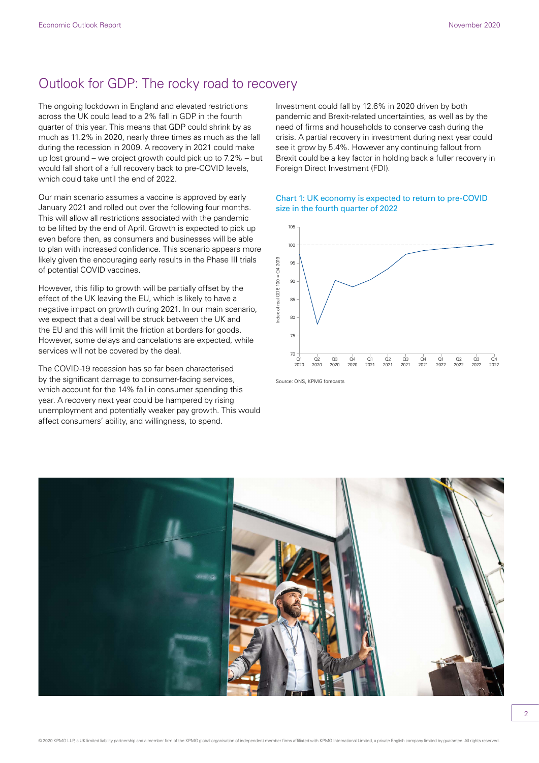## Outlook for GDP: The rocky road to recovery

The ongoing lockdown in England and elevated restrictions across the UK could lead to a 2% fall in GDP in the fourth quarter of this year. This means that GDP could shrink by as much as 11.2% in 2020, nearly three times as much as the fall during the recession in 2009. A recovery in 2021 could make up lost ground – we project growth could pick up to 7.2% – but would fall short of a full recovery back to pre-COVID levels, which could take until the end of 2022.

Our main scenario assumes a vaccine is approved by early January 2021 and rolled out over the following four months. This will allow all restrictions associated with the pandemic to be lifted by the end of April. Growth is expected to pick up even before then, as consumers and businesses will be able to plan with increased confidence. This scenario appears more likely given the encouraging early results in the Phase III trials of potential COVID vaccines.

However, this fillip to growth will be partially offset by the effect of the UK leaving the EU, which is likely to have a negative impact on growth during 2021. In our main scenario, we expect that a deal will be struck between the UK and the EU and this will limit the friction at borders for goods. However, some delays and cancelations are expected, while services will not be covered by the deal.

The COVID-19 recession has so far been characterised by the significant damage to consumer-facing services, which account for the 14% fall in consumer spending this year. A recovery next year could be hampered by rising unemployment and potentially weaker pay growth. This would affect consumers' ability, and willingness, to spend.

Investment could fall by 12.6% in 2020 driven by both pandemic and Brexit-related uncertainties, as well as by the need of firms and households to conserve cash during the crisis. A partial recovery in investment during next year could see it grow by 5.4%. However any continuing fallout from Brexit could be a key factor in holding back a fuller recovery in Foreign Direct Investment (FDI).

#### Chart 1: UK economy is expected to return to pre-COVID size in the fourth quarter of 2022



Source: ONS, KPMG forecasts

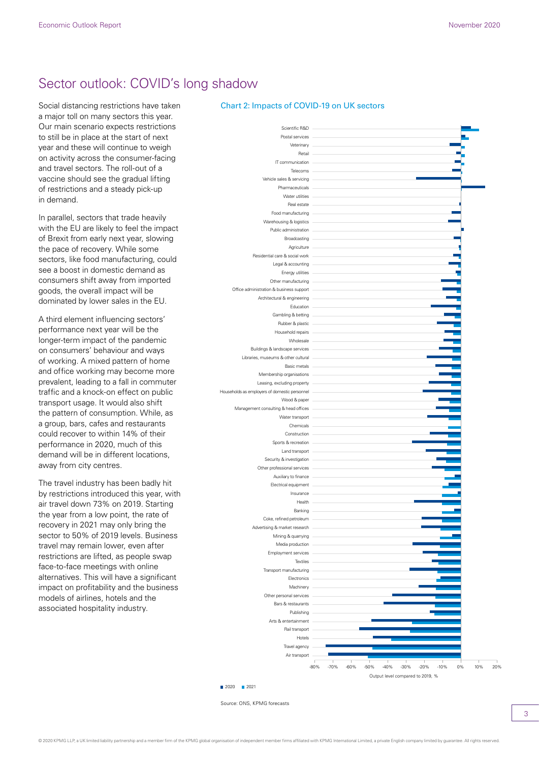## Sector outlook: COVID's long shadow

Social distancing restrictions have taken a major toll on many sectors this year. Our main scenario expects restrictions to still be in place at the start of next year and these will continue to weigh on activity across the consumer-facing and travel sectors. The roll-out of a vaccine should see the gradual lifting of restrictions and a steady pick-up in demand.

In parallel, sectors that trade heavily with the EU are likely to feel the impact of Brexit from early next year, slowing the pace of recovery. While some sectors, like food manufacturing, could see a boost in domestic demand as consumers shift away from imported goods, the overall impact will be dominated by lower sales in the EU.

A third element influencing sectors' performance next year will be the longer-term impact of the pandemic on consumers' behaviour and ways of working. A mixed pattern of home and office working may become more prevalent, leading to a fall in commuter traffic and a knock-on effect on public transport usage. It would also shift the pattern of consumption. While, as a group, bars, cafes and restaurants could recover to within 14% of their performance in 2020, much of this demand will be in different locations, away from city centres.

The travel industry has been badly hit by restrictions introduced this year, with air travel down 73% on 2019. Starting the year from a low point, the rate of recovery in 2021 may only bring the sector to 50% of 2019 levels. Business travel may remain lower, even after restrictions are lifted, as people swap face-to-face meetings with online alternatives. This will have a significant impact on profitability and the business models of airlines, hotels and the associated hospitality industry.

#### Chart 2: Impacts of COVID-19 on UK sectors



Source: ONS, KPMG forecasts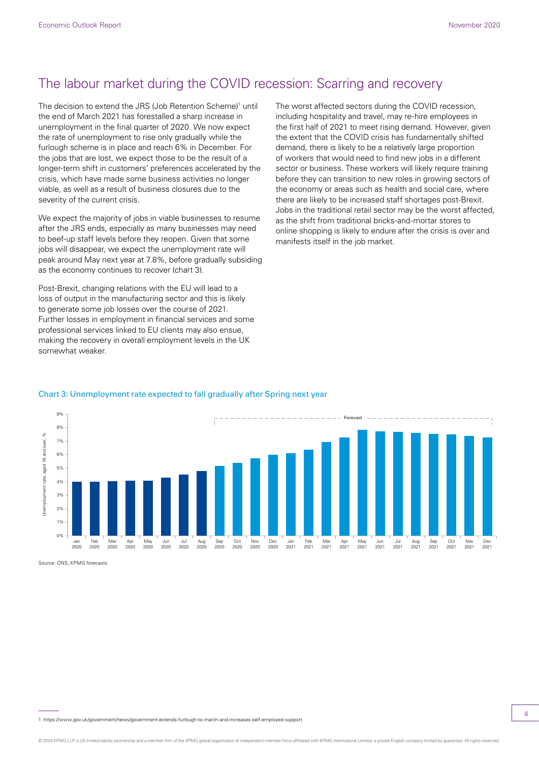## The labour market during the COVID recession: Scarring and recovery

The decision to extend the JRS (Job Retention Scheme)<sup>1</sup> until the end of March 2021 has forestalled a sharp increase in unemployment in the final quarter of 2020. We now expect the rate of unemployment to rise only gradually while the furlough scheme is in place and reach 6% in December. For the jobs that are lost, we expect those to be the result of a longer-term shift in customers' preferences accelerated by the crisis, which have made some business activities no longer viable, as well as a result of business closures due to the severity of the current crisis.

We expect the majority of jobs in viable businesses to resume after the JRS ends, especially as many businesses may need to beef-up staff levels before they reopen. Given that some jobs will disappear, we expect the unemployment rate will peak around May next year at 7.8%, before gradually subsiding as the economy continues to recover (chart 3).

Post-Brexit, changing relations with the EU will lead to a loss of output in the manufacturing sector and this is likely to generate some job losses over the course of 2021. Further losses in employment in financial services and some professional services linked to EU clients may also ensue, making the recovery in overall employment levels in the UK somewhat weaker.

The worst affected sectors during the COVID recession, including hospitality and travel, may re-hire employees in the first half of 2021 to meet rising demand. However, given the extent that the COVID crisis has fundamentally shifted demand, there is likely to be a relatively large proportion of workers that would need to find new jobs in a different sector or business. These workers will likely require training before they can transition to new roles in growing sectors of the economy or areas such as health and social care, where there are likely to be increased staff shortages post-Brexit. Jobs in the traditional retail sector may be the worst affected, as the shift from traditional bricks-and-mortar stores to online shopping is likely to endure after the crisis is over and manifests itself in the job market.

#### Chart 3: Unemployment rate expected to fall gradually after Spring next year



Source: ONS, KPMG forecasts

1 https://www.gov.uk/government/news/government-extends-furlough-to-march-and-increases-self-employed-support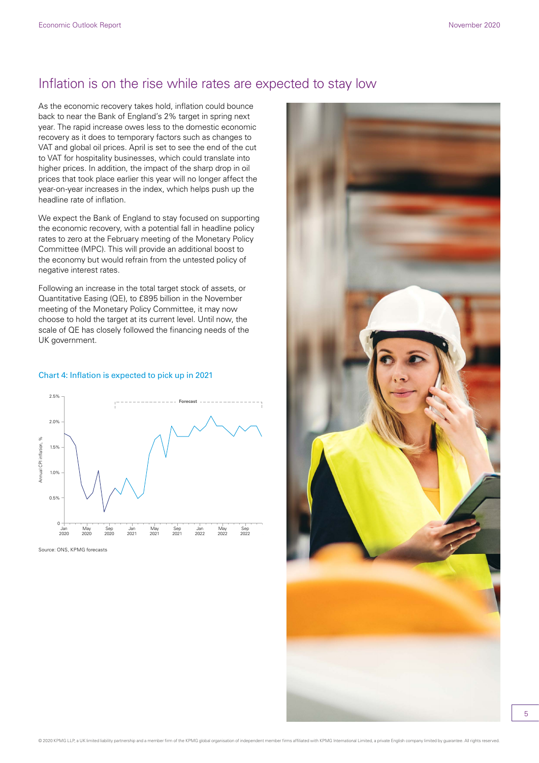## Inflation is on the rise while rates are expected to stay low

As the economic recovery takes hold, inflation could bounce back to near the Bank of England's 2% target in spring next year. The rapid increase owes less to the domestic economic recovery as it does to temporary factors such as changes to VAT and global oil prices. April is set to see the end of the cut to VAT for hospitality businesses, which could translate into higher prices. In addition, the impact of the sharp drop in oil prices that took place earlier this year will no longer affect the year-on-year increases in the index, which helps push up the headline rate of inflation.

We expect the Bank of England to stay focused on supporting the economic recovery, with a potential fall in headline policy rates to zero at the February meeting of the Monetary Policy Committee (MPC). This will provide an additional boost to the economy but would refrain from the untested policy of negative interest rates.

Following an increase in the total target stock of assets, or Quantitative Easing (QE), to £895 billion in the November meeting of the Monetary Policy Committee, it may now choose to hold the target at its current level. Until now, the scale of QE has closely followed the financing needs of the UK government.

#### Chart 4: Inflation is expected to pick up in 2021



Source: ONS, KPMG forecasts